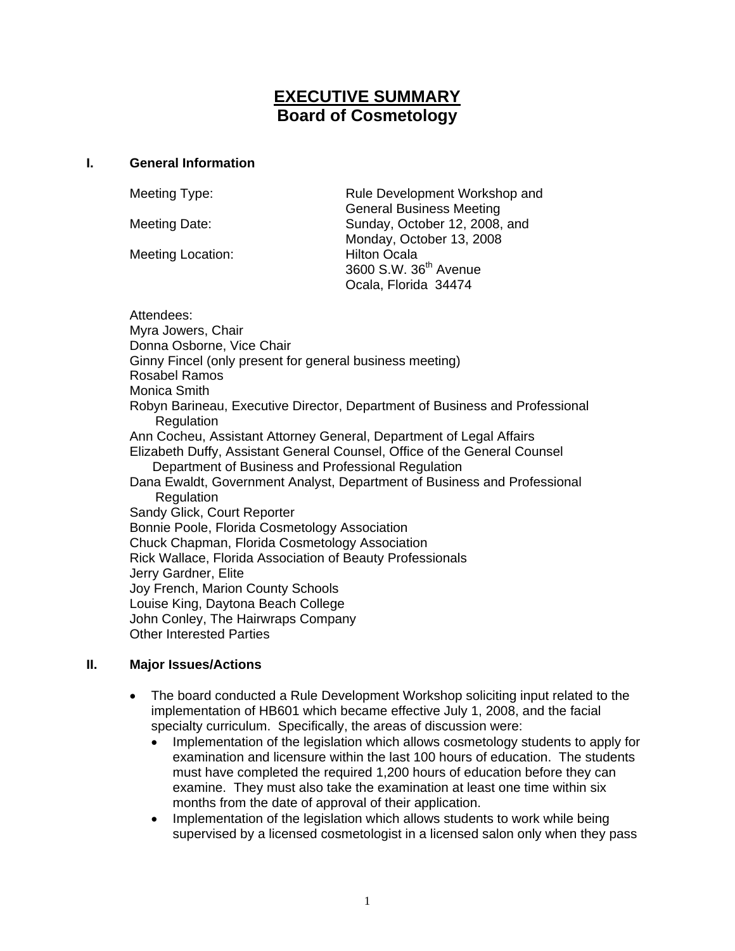# **EXECUTIVE SUMMARY Board of Cosmetology**

## **I. General Information**

Meeting Location: Hilton Ocala

Meeting Type: Rule Development Workshop and General Business Meeting Meeting Date: Sunday, October 12, 2008, and Monday, October 13, 2008 3600 S.W. 36th Avenue Ocala, Florida 34474

Attendees: Myra Jowers, Chair Donna Osborne, Vice Chair Ginny Fincel (only present for general business meeting) Rosabel Ramos Monica Smith Robyn Barineau, Executive Director, Department of Business and Professional Regulation Ann Cocheu, Assistant Attorney General, Department of Legal Affairs Elizabeth Duffy, Assistant General Counsel, Office of the General Counsel Department of Business and Professional Regulation Dana Ewaldt, Government Analyst, Department of Business and Professional **Regulation** Sandy Glick, Court Reporter Bonnie Poole, Florida Cosmetology Association Chuck Chapman, Florida Cosmetology Association Rick Wallace, Florida Association of Beauty Professionals Jerry Gardner, Elite Joy French, Marion County Schools Louise King, Daytona Beach College John Conley, The Hairwraps Company Other Interested Parties

## **II. Major Issues/Actions**

- The board conducted a Rule Development Workshop soliciting input related to the implementation of HB601 which became effective July 1, 2008, and the facial specialty curriculum. Specifically, the areas of discussion were:
	- Implementation of the legislation which allows cosmetology students to apply for examination and licensure within the last 100 hours of education. The students must have completed the required 1,200 hours of education before they can examine. They must also take the examination at least one time within six months from the date of approval of their application.
	- Implementation of the legislation which allows students to work while being supervised by a licensed cosmetologist in a licensed salon only when they pass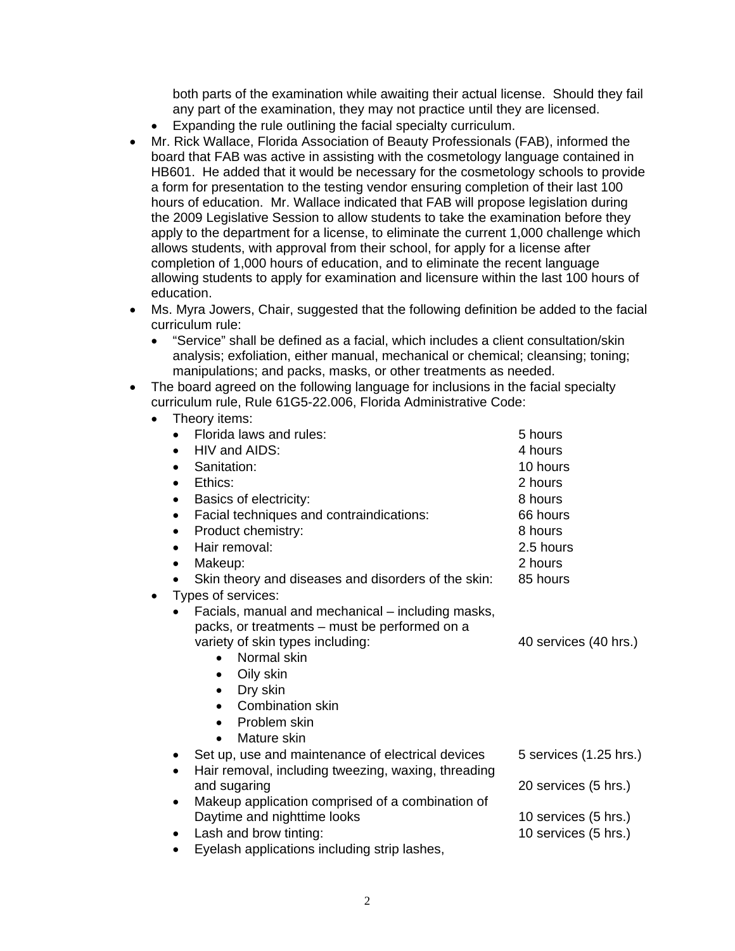both parts of the examination while awaiting their actual license. Should they fail any part of the examination, they may not practice until they are licensed.

- Expanding the rule outlining the facial specialty curriculum.
- Mr. Rick Wallace, Florida Association of Beauty Professionals (FAB), informed the board that FAB was active in assisting with the cosmetology language contained in HB601. He added that it would be necessary for the cosmetology schools to provide a form for presentation to the testing vendor ensuring completion of their last 100 hours of education. Mr. Wallace indicated that FAB will propose legislation during the 2009 Legislative Session to allow students to take the examination before they apply to the department for a license, to eliminate the current 1,000 challenge which allows students, with approval from their school, for apply for a license after completion of 1,000 hours of education, and to eliminate the recent language allowing students to apply for examination and licensure within the last 100 hours of education.
- Ms. Myra Jowers, Chair, suggested that the following definition be added to the facial curriculum rule:
	- "Service" shall be defined as a facial, which includes a client consultation/skin analysis; exfoliation, either manual, mechanical or chemical; cleansing; toning; manipulations; and packs, masks, or other treatments as needed.
- The board agreed on the following language for inclusions in the facial specialty curriculum rule, Rule 61G5-22.006, Florida Administrative Code: • Theory items:

| THEOLY ITELITS.                                                  |                        |
|------------------------------------------------------------------|------------------------|
| Florida laws and rules:                                          | 5 hours                |
| HIV and AIDS:<br>$\bullet$                                       | 4 hours                |
| Sanitation:<br>$\bullet$                                         | 10 hours               |
| Ethics:<br>$\bullet$                                             | 2 hours                |
| Basics of electricity:<br>٠                                      | 8 hours                |
| Facial techniques and contraindications:<br>٠                    | 66 hours               |
| Product chemistry:<br>$\bullet$                                  | 8 hours                |
| Hair removal:<br>$\bullet$                                       | 2.5 hours              |
| Makeup:<br>$\bullet$                                             | 2 hours                |
| Skin theory and diseases and disorders of the skin:<br>$\bullet$ | 85 hours               |
| Types of services:                                               |                        |
| Facials, manual and mechanical – including masks,                |                        |
| packs, or treatments - must be performed on a                    |                        |
| variety of skin types including:                                 | 40 services (40 hrs.)  |
| Normal skin<br>$\bullet$                                         |                        |
| Oily skin<br>$\bullet$                                           |                        |
| Dry skin<br>٠                                                    |                        |
| <b>Combination skin</b>                                          |                        |
| Problem skin<br>$\bullet$                                        |                        |
| Mature skin<br>$\bullet$                                         |                        |
| Set up, use and maintenance of electrical devices<br>٠           | 5 services (1.25 hrs.) |
| Hair removal, including tweezing, waxing, threading<br>$\bullet$ |                        |
| and sugaring                                                     | 20 services (5 hrs.)   |
| Makeup application comprised of a combination of<br>$\bullet$    |                        |
| Daytime and nighttime looks                                      | 10 services (5 hrs.)   |
| Lash and brow tinting:<br>$\bullet$                              | 10 services (5 hrs.)   |

• Eyelash applications including strip lashes,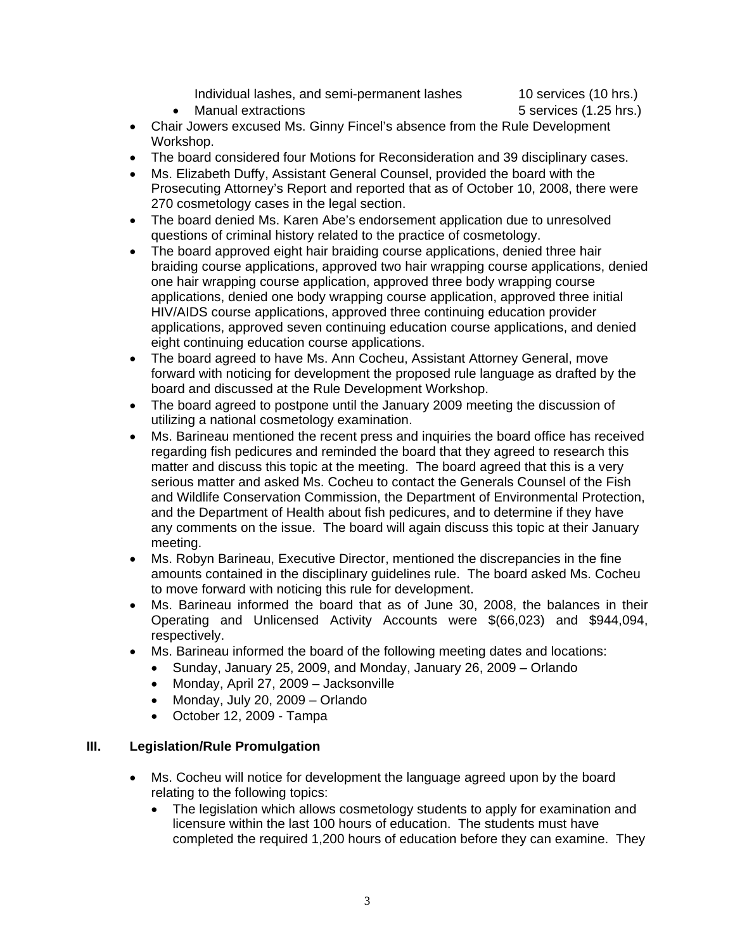Individual lashes, and semi-permanent lashes 10 services (10 hrs.)

• Manual extractions **6 services (1.25 hrs.)** 5 services (1.25 hrs.)

- Chair Jowers excused Ms. Ginny Fincel's absence from the Rule Development Workshop.
- The board considered four Motions for Reconsideration and 39 disciplinary cases.
- Ms. Elizabeth Duffy, Assistant General Counsel, provided the board with the Prosecuting Attorney's Report and reported that as of October 10, 2008, there were 270 cosmetology cases in the legal section.
- The board denied Ms. Karen Abe's endorsement application due to unresolved questions of criminal history related to the practice of cosmetology.
- The board approved eight hair braiding course applications, denied three hair braiding course applications, approved two hair wrapping course applications, denied one hair wrapping course application, approved three body wrapping course applications, denied one body wrapping course application, approved three initial HIV/AIDS course applications, approved three continuing education provider applications, approved seven continuing education course applications, and denied eight continuing education course applications.
- The board agreed to have Ms. Ann Cocheu, Assistant Attorney General, move forward with noticing for development the proposed rule language as drafted by the board and discussed at the Rule Development Workshop.
- The board agreed to postpone until the January 2009 meeting the discussion of utilizing a national cosmetology examination.
- Ms. Barineau mentioned the recent press and inquiries the board office has received regarding fish pedicures and reminded the board that they agreed to research this matter and discuss this topic at the meeting. The board agreed that this is a very serious matter and asked Ms. Cocheu to contact the Generals Counsel of the Fish and Wildlife Conservation Commission, the Department of Environmental Protection, and the Department of Health about fish pedicures, and to determine if they have any comments on the issue. The board will again discuss this topic at their January meeting.
- Ms. Robyn Barineau, Executive Director, mentioned the discrepancies in the fine amounts contained in the disciplinary guidelines rule. The board asked Ms. Cocheu to move forward with noticing this rule for development.
- Ms. Barineau informed the board that as of June 30, 2008, the balances in their Operating and Unlicensed Activity Accounts were \$(66,023) and \$944,094, respectively.
- Ms. Barineau informed the board of the following meeting dates and locations:
	- Sunday, January 25, 2009, and Monday, January 26, 2009 Orlando
		- Monday, April 27, 2009 Jacksonville
		- Monday, July 20, 2009 Orlando
		- October 12, 2009 Tampa

## **III. Legislation/Rule Promulgation**

- Ms. Cocheu will notice for development the language agreed upon by the board relating to the following topics:
	- The legislation which allows cosmetology students to apply for examination and licensure within the last 100 hours of education. The students must have completed the required 1,200 hours of education before they can examine. They